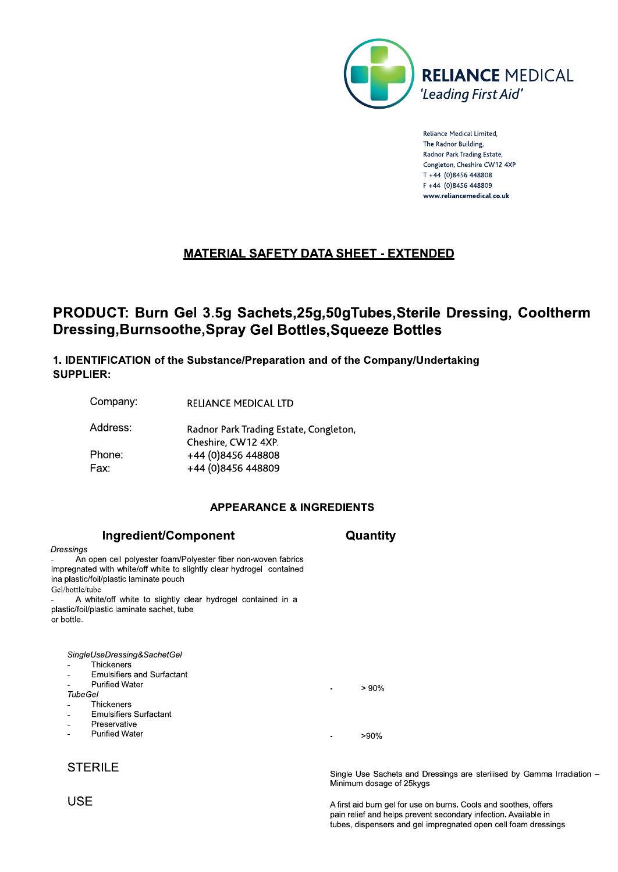

Reliance Medical Limited, The Radnor Building Radnor Park Trading Estate, Congleton, Cheshire CW12 4XP T +44 (0)8456 448808 F +44 (0)8456 448809 www.reliancemedical.co.uk

# **MATERIAL SAFETY DATA SHEET - EXTENDED**

# PRODUCT: Burn Gel 3.5g Sachets, 25g, 50g Tubes, Sterile Dressing, Cooltherm **Dressing, Burnsoothe, Spray Gel Bottles, Squeeze Bottles**

1. IDENTIFICATION of the Substance/Preparation and of the Company/Undertaking **SUPPLIER:** 

Company: **RELIANCE MEDICAL LTD** 

Ingredient/Component

An open cell polyester foam/Polyester fiber non-woven fabrics

Address: Radnor Park Trading Estate, Congleton, Cheshire, CW12 4XP. Phone: +44 (0)8456 448808 Fax: +44 (0)8456 448809

# **APPEARANCE & INGREDIENTS**

Quantity

## impregnated with white/off white to slightly clear hydrogel contained ina plastic/foil/plastic laminate pouch Gel/bottle/tube A white/off white to slightly clear hydrogel contained in a plastic/foil/plastic laminate sachet, tube or bottle. SingleUseDressing&SachetGel Thickeners **Emulsifiers and Surfactant Purified Water**  $> 90%$ **TubeGel** Thickeners **Emulsifiers Surfactant** Preservative **Purified Water**  $>90%$

# **STERILE**

Single Use Sachets and Dressings are sterilised by Gamma Irradiation -Minimum dosage of 25kygs

A first aid burn gel for use on burns. Cools and soothes, offers pain relief and helps prevent secondary infection. Available in tubes, dispensers and gel impregnated open cell foam dressings

**USE** 

Dressings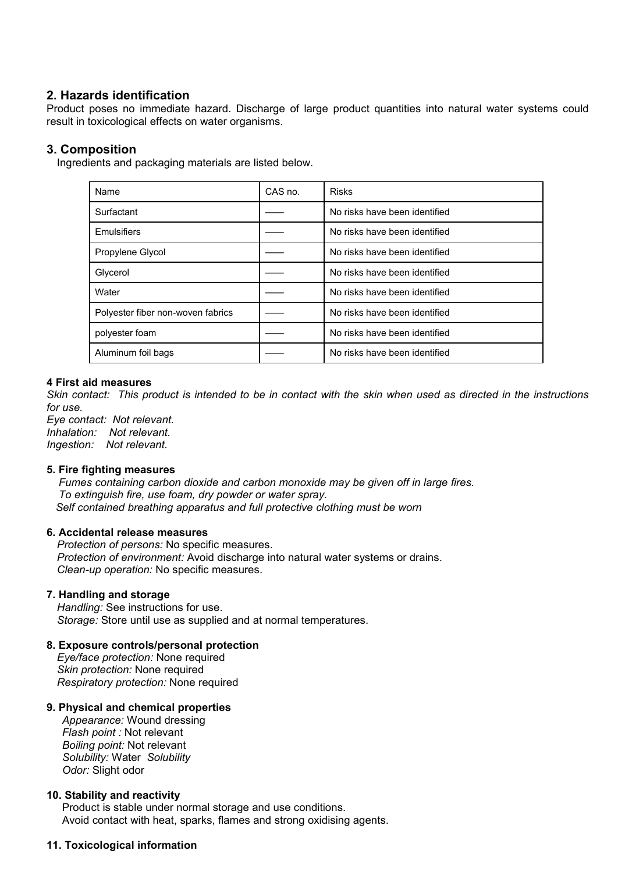**2. Hazards identification**<br>Product poses no immediate hazard. Discharge of large produ<br>result in toxicological effects on water organisms. 2. Hazards identification<br>Product poses no immediate hazard. Discharge of large product quantities into natural water systems could<br>3. Composition 2. Hazards identification<br>Product poses no immediate hazard. Discharge of large product quantities into<br>result in toxicological effects on water organisms.<br>3. Composition<br>Incredients and packaging materials are listed belo **2. Hazards identification**<br>Product poses no immediate hazard. Discharge of languard in toxicological effects on water organisms.<br>**3. Composition**<br>Ingredients and packaging materials are listed below **Hazards identification**<br>
moduct poses no immediate hazard. Discharge of large product quantities into natural was<br>
sult in toxicological effects on water organisms.<br> **Composition**<br>
Ingredients and packaging materials are

| 2. Hazards identification<br>result in toxicological effects on water organisms. |         | Product poses no immediate hazard. Discharge of large product quantities into natural water systems could |
|----------------------------------------------------------------------------------|---------|-----------------------------------------------------------------------------------------------------------|
| 3. Composition<br>Ingredients and packaging materials are listed below.          |         |                                                                                                           |
| Name                                                                             | CAS no. | <b>Risks</b>                                                                                              |
| Surfactant                                                                       |         | No risks have been identified                                                                             |
| Emulsifiers                                                                      |         | No risks have been identified                                                                             |
| Propylene Glycol                                                                 |         | No risks have been identified                                                                             |
| Glycerol                                                                         |         | No risks have been identified                                                                             |
| Water                                                                            |         | No risks have been identified                                                                             |
| Polyester fiber non-woven fabrics                                                |         | No risks have been identified                                                                             |
| polyester foam                                                                   |         | No risks have been identified                                                                             |
| Aluminum foil bags                                                               |         | No risks have been identified                                                                             |

**First aid measures**<br> **Self contact:** This product is intended to be in contact with the skin when used as directed in the instructions<br>
r use.<br> *Self contact:* Not relevant.<br> **Self contact:** Not relevant.<br> **Self containin** *Protection of encycle is intended to be in contact with the skin when used as directed in the instructions*<br> *Protection of econtact:* Not relevant.<br> *Protection:* Not relevant.<br> *Protection:* Not relevant.<br> **Protection: Fire fighting measures**<br> **Fire fighting carbon dioxide and carbon monoxide may be given off in large fires.**<br> *Fumes containing case foam, dry powder or water spray.*<br> *Self contained breathing apparatus and full protecti* 

**4 First aid measures**<br>
Skin contact: This product is intended to be in contact with the sk<br>
for use.<br>
Eye contact: Not relevant.<br>
Inhalation: Not relevant.<br>
Inhalation: Not relevant.<br> **5. Fire fighting measures**<br>
Fumes co **First aid measures**<br> *Protection of the product is intended to be in contact with the skin when used*<br> *Protection:* Not relevant.<br> *Protection:* Not relevant.<br> **Protection:** Not relevant.<br> **Protection:** Not relevant.<br> **P** *Clean-up operation:* Not relevant.<br> *Clean-use.*<br> *Clean-use.*<br> *Clean-up of relevant.*<br> **Fire fighting measures**<br> *Clean-up operation dioxide and carbon monoxide may be given off in la<br>
To extinguish fire, use foam, dry* Finalistion: Not relevant.<br> **7. Finalistion:** Not relevant.<br> **7. Finalistion:** Not relevant.<br> **7. Finalistic Schemes containing carbon dioxide and carbon monoxide may**<br> **7. Despite Contained breathing apparatus and full pr Fire fighting measures**<br> **Fire fighting measures**<br> *Fire* **fighting measures**<br> *Handling carbon dioxide and carbon monoxide may be given off ir*<br> *To extinguish fire, use foam, dry powder or water spray.*<br> *Self contained* Funes containing carbon dioxide and carbon monoxide may be given off in<br> **Funes containing carbon dioxide and carbon monoxide may be given off in**<br> **8. Accidental elease measures**<br> **8. Accidental release measures**<br> **9. Acc** *To extinguish fire, use foam, dry powder or water spray.*<br> *Co extinguish fire, use foam, dry powder or water spray.*<br> *Self contained breathing apparatus and full protective clothing must be v*<br> **Accidental release measu** Self contained breathing apparatus and full protective clothing must<br> **Accidental release measures**<br> *Protection of persons:* No specific measures.<br> *Protection of environment:* Avoid discharge into natural water syste<br> *C* **Accidental release measures**<br> *Protection of persons:* No specific measures.<br> *Protection of environment:* Avoid discharge into natural water systems or d<br> *Clean-up operation:* No specific measures.<br> **Handling and storag** Protection of persons: No specific measures.<br>
Protection of persons: No specific measures.<br>
Protection of environment: Avoid discharge into natural water systems<br>
Clean-up operation: No specific measures.<br> **7. Handling:** S Protection of environment: Avoid discharge into natural water system<br>
Protection of environment: Avoid discharge into natural water system<br> *A*<br> **Andling and storage**<br> **Andling and storage**<br> **Andling and storage**<br> *Andling* 

*Flean-up operation:* No specific measures.<br> **Ianaling and storage**<br> **Iandling and storage**<br> **Iandling:** See instructions for use.<br> *Forage:* Store until use as supplied and at normal temperature:<br> *Forage:* Store until us **Handling and storage**<br> **Handling:** See instructions for use.<br> **Boiling:** See instructions for use.<br> **Exposure controls/personal protection**<br> **Exposure controls/personal protection**<br> **Exposure controls/personal protection** *Solubility:* Water *Solubility Fandling:* See instructions for use.<br> *Conductions* See instructions for use.<br> *Conduction*: Store until use as supplied and at normal temperary<br> *Consume* controls/personal protection<br> *Consumeration:* None required<br> *Co* **10. Stability and reactivity**<br> **10. Stability and reaction:** None required<br> **10. Stability protection:** None required<br> **10. Physical and chemical properties**<br> **10. Physical and chemical properties**<br> *Appearance:* Wound dr Exposure controls/personal protection<br>
Eye/face protection: None required<br>
Mixim protection: None required<br>
expiratory protection: None required<br>
Appearance: Vound dressing<br>
Flash point: Not relevant<br>
Boiling point: Not re Evertical protection: None required<br>
Evertical contact with protection: None required<br>
Akin protection: None required<br>
Appearance: Wound dressing<br>
Appearance: Wound dressing<br>
Flash point: Not relevant<br>
Boliling point: Not **11. Toxicological information**<br> **11. Toxicological information**<br> **11. Toxicological information**<br> **11. Toxicological information**<br> **11. Toxicological information**<br> **11. Toxicological information**